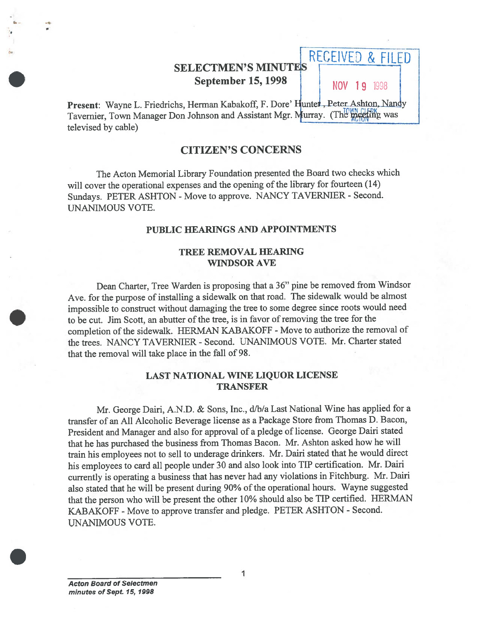# SELECTMEN'S MINUTES **September 15, 1998** NOV 19 1998

RECEIVED & FILED

Present: Wayne L. Friedrichs, Herman Kabakoff, F. Dore' Hunter, Peter Ashton, Nandy Tavernier, Town Manager Don Johnson and Assistant Mgr. Murray. (The meeting was televised by cable)

### CITIZEN'S CONCERNS

The Acton Memorial Library foundation presented the Board two checks which will cover the operational expenses and the opening of the library for fourteen (14) Sundays. PETER ASHTON - Move to approve. NANCY TAVERNIER - Second. UNANIMOUS VOTE.

#### PUBLIC HEARINGS AND APPOINTMENTS

#### TREE REMOVAL HEARING WINDSOR AVE

Dean Charter, Tree Warden is proposing that <sup>a</sup> 36" <sup>p</sup>ine be removed from Windsor Ave. for the purpose of installing <sup>a</sup> sidewalk on that road. The sidewalk would be almost impossible to construct without damaging the tree to some degree since roots would need to be cut. Jim Scott, an abutter of the tree, is in favor ofremoving the tree for the completion of the sidewalk. HERMAN KABAKOFF - Move to authorize the removal of the trees. NANCY TAVERNIER - Second. UNANIMOUS VOTE. Mr. Charter stated that the removal will take place in the fall of 98.

#### LAST NATIONAL WINE LIQUOR LICENSE TRANSFER

Mr. George Dairi, A.N.D. & Sons, Inc., d/b/a Last National Wine has applied for a transfer of an All Alcoholic Beverage license as <sup>a</sup> Package Store from Thomas D. Bacon, President and Manager and also for approva<sup>l</sup> of <sup>a</sup> <sup>p</sup>ledge of license. George Dairi stated that he has purchased the business from Thomas Bacon. Mr. Ashton asked how he will train his employees not to sell to underage drinkers. Mr. Dairi stated that he would direct his employees to card all people under <sup>30</sup> and also look into TIP certification. Mr. Dairi currently is operating <sup>a</sup> business that has never had any violations in Fitchburg. Mr. Dairi also stated that he will be present during 90% of the operational hours. Wayne suggested that the person who will be presen<sup>t</sup> the other 10% should also be TIP certified. HERMAN KABAKOFF -Move to approve transfer and <sup>p</sup>ledge. PETER ASHTON - Second. SELECT<br>
Sept<br/>t Septer<br>
Present: Wayne L. Friedrichs, Herman Tavernier, Town Manager Don Johnson<br>
televised by cable)<br>
CITIZE<br>
The Acton Memorial Library Fo<br>
suil cover the operational expenses and Sumdays. PETER ASHTON

I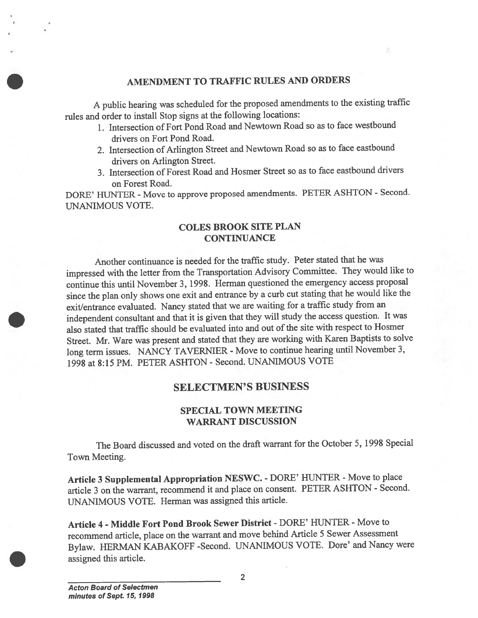### AMENDMENT TO TRAFFIC RULES AND ORDERS

<sup>A</sup> public hearing was scheduled for the propose<sup>d</sup> amendments to the existing traffic rules and order to install Stop signs at the following locations:

- 1. Intersection of Fort Pond Road and Newtown Road so as to face westbound drivers on Fort Pond Road.
- 2. Intersection of Arlington Street and Newtown Road so as to face eastbound drivers on Arlington Street.
- 3. Intersection of Forest Road and Hosmer Street so as to face eastbound drivers on Forest Road.

DORE' HUNTER - Move to approve proposed amendments. PETER ASHTON - Second. UNANIMOUS VOTE.

### COLES BROOK SITE PLAN **CONTINUANCE**

Another continuance is needed for the traffic study. Peter stated that he was impressed with the letter from the Transportation Advisory Committee. They would like to continue this until November 3, 1992. Herman questioned the emergency access proposa<sup>l</sup> since the <sup>p</sup>lan only shows one exit and entrance by <sup>a</sup> curb cut stating that he would like the exit/entrance evaluated. Nancy stated that we are waiting for <sup>a</sup> traffic study from an independent consultant and that it is <sup>g</sup>iven that they will study the access question. It was also stated that traffic should be evaluated into and out of the site with respect to Hosmer Street. Mr. Ware was presen<sup>t</sup> and stated that they are working with Karen Baptists to solve long term issues. NANCY TAVERNIER - Move to continue hearing until November 3, 1998 at 8:15 PM. PETER ASHTON - Second. UNANIMOUS VOTE

## SELECTMEN'S BUSINESS

### SPECIAL TOWN MEETING WARRANT DISCUSSION

The Board discussed and voted on the draft warrant for the October 5, 1998 Special Town Meeting.

Article 3 Supplemental Appropriation NESWC. - DORE' HUNTER - Move to place article <sup>3</sup> on the warrant, recommend it and <sup>p</sup>lace on consent. PETER ASHTON - Second. UNANIMOUS VOTE. Herman was assigned this article.

Article 4 - Middle Fort Pond Brook Sewer District - DORE' HUNTER - Move to recommend article, <sup>p</sup>lace on the warrant and move behind Article <sup>5</sup> Sewer Assessment Bylaw. HERMAN KABAKOFF -Second. UNANIMOUS VOTE. Dore' and Nancy were assigned this article.

2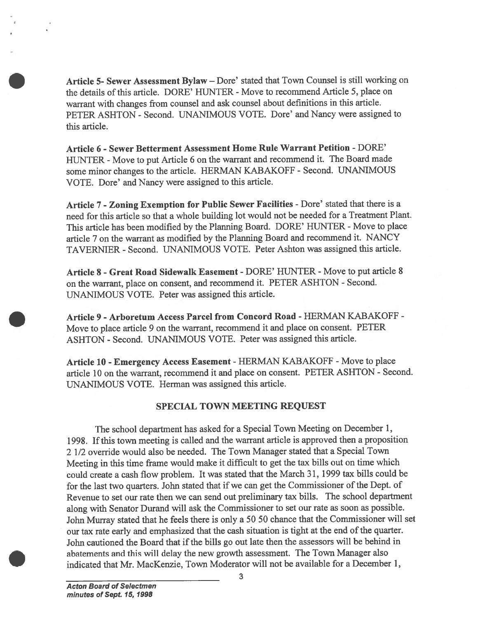Article 5- Sewer Assessment Bylaw — Dore' stated that Town Counsel is still working on the details of this article. DORE' HUNTER - Move to recommend Article 5, place on warrant with changes from counsel and ask counsel about definitions in this article. PETER ASHTON - Second. UNANIMOUS VOTE. Dore' and Nancy were assigned to this article.

Article 6 - Sewer Betterment Assessment Home Rule Warrant Petition - DORE' HUNTER - Move to put Article 6 on the warrant and recommend it. The Board made some minor changes to the article. HERMAN KABAKOFF - Second. UNAMMOUS VOTE. Dore' and Nancy were assigned to this article.

Article 7 - Zoning Exemption for Public Sewer Facilities - Dore' stated that there is a need for this article so that <sup>a</sup> whole building lot would not be needed for <sup>a</sup> Treatment Plant. This article has been modified by the Planning Board. DORE' HUNTER - Move to place article <sup>7</sup> on the warrant as modified by the Planning Board and recommend it. NANCY TAVERNIER - Second. UNANIMOUS VOTE. Peter Ashton was assigned this article.

Article 8 - Great Road Sidewalk Easement - DORE' HUNTER - Move to put article 8 on the warrant, <sup>p</sup>lace on consent, and recommend it. PETER ASHTON - Second. UNANIMOUS VOTE. Peter was assigned this article.

Article 9 - Arboretum Access Parcel from Concord Road - HERMAN KABAKOFF -Move to <sup>p</sup>lace article <sup>9</sup> on the warrant, recommend it and <sup>p</sup>lace on consent. PETER ASHTON - Second. UNANIMOUS VOTE. Peter was assigned this article.

Article 10 - Emergency Access Easement - HERMAN KABAKOFF - Move to place article 10 on the warrant, recommend it and place on consent. PETER ASHTON - Second. UNANIMOUS VOTE. Herman was assigned this article.

#### SPECIAL TOWN MEETING REQUEST

The school department has asked for <sup>a</sup> Special Town Meeting on December 1, 1998. Ifthis town meeting is called and the warrant article is approve<sup>d</sup> then <sup>a</sup> proposition 2 1/2 override would also be needed. The Town Manager stated that <sup>a</sup> Special Town Meeting in this time frame would make it difficult to ge<sup>t</sup> the tax bills out on time which could create <sup>a</sup> cash flow problem. It was stated that the March 31, <sup>1999</sup> tax bills could be for the last two quarters. John stated that if we can get the Commissioner of the Dept. of Revenue to set our rate then we can send out preliminary tax bills. The school department along with Senator Durand will ask the Commissioner to set our rate as soon as possible. John Murray stated that he feels there is only <sup>a</sup> <sup>50</sup> <sup>50</sup> chance that the Commissioner will set our tax rate early and emphasized that the cash situation is tight at the end of the quarter. John cautioned the Board that if the bills go out late then the assessors will be behind in abatements and this will delay the new growth assessment. The Town Manager also Article 5- Severe Assessment Hylaw – Dore' stated that Town Counsel is still vorking the details of this article. DORE' HUNTER - Move to recomment Anticle 5, place on whirrely this change from counsel and six counsel (thi

3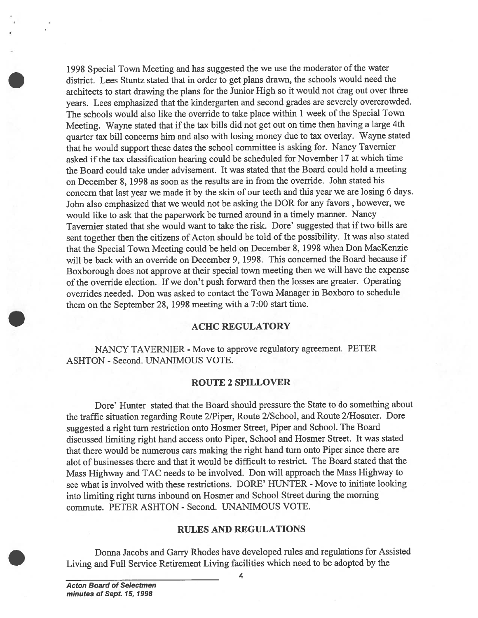199\$ Special Town Meeting and has suggested the we use the moderator of the water district. Lees Stuntz stated that in order to get plans drawn, the schools would need the architects to start drawing the <sup>p</sup>lans for the Junior High so it would not drag out over three years. Lees emphasized that the kindergarten and second grades are severely overcrowded. The schools would also like the override to take place within 1 week of the Special Town Meeting. Wayne stated that if the tax bills did not get out on time then having a large 4th quarter tax bill concerns him and also with losing money due to tax overlay. Wayne stated that he would suppor<sup>t</sup> these dates the school committee is asking for. Nancy Tavemier asked if the tax classification hearing could be scheduled for November 17 at which time the Board could take under advisement. It was stated that the Board could hold <sup>a</sup> meeting on December 2, 1998 as soon as the results are in from the override. John stated his concern that last year we made it by the skin of our teeth and this year we are losing <sup>6</sup> days. John also emphasized that we would not be asking the DOR for any favors , however, we would like to ask that the paperwor<sup>k</sup> be turned around in <sup>a</sup> timely manner. Nancy Tavernier stated that she would want to take the risk. Dore' suggested that if two bills are sent together then the citizens of Acton should be told of the possibility. It was also stated that the Special Town Meeting could be held on December 8, 199\$ when Don MacKenzie will be back with an override on December 9, 1998. This concerned the Board because if Boxborough does not approve at their special town meeting then we will have the expense of the override election. If we don't pus<sup>h</sup> forward then the losses are greater. Operating overrides needed. Don was asked to contact the Town Manager in Boxboro to schedule them on the September 28, 1998 meeting with a 7:00 start time.

#### ACHC REGULATORY

NANCY TAVERNIER - Move to approve regulatory agreement. PETER ASHTON - Second. UNANIMOUS VOTE.

#### ROUTE 2 SPILLOVER

Dore' Hunter stated that the Board should pressure the State to do something about the traffic situation regarding Route 2/Piper, Route 2/School, and Route 2/Hosmer. Dore suggested <sup>a</sup> right turn restriction onto Hosmer Street, Piper and School. The Board discussed limiting right hand access onto Piper, School and Hosmer Street. It was stated that there would be numerous cars making the right hand turn onto Piper since there are alot of businesses there and that it would be difficult to restrict. The Board stated that the Mass Highway and TAC needs to be involved. Don will approac<sup>h</sup> the Mass Highway to see what is involved with these restrictions. DORE' HUNTER - Move to initiate looking into limiting right turns inbound on Hosmer and School Street during the morning commute. PETER ASHTON - Second. UNANIMOUS VOTE.

#### RULES AND REGULATIONS

Donna Jacobs and Garry Rhodes have developed rules and regulations for Assisted Living and Full Service Retirement Living facilities which need to be adopted by the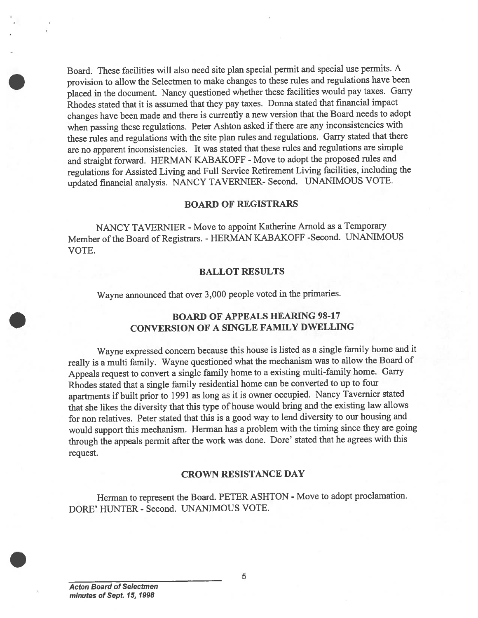Board. These facilities will also need site <sup>p</sup>lan special permit and special use permits. <sup>A</sup> provision to allow the Selectmen to make changes to these rules and regulations have been <sup>p</sup>laced in the document. Nancy questioned whether these facilities would pay taxes. Garry Rhodes stated that it is assumed that they pay taxes. Donna stated that financial impact changes have been made and there is currently <sup>a</sup> new version that the Board needs to adopt when passing these regulations. Peter Ashton asked if there are any inconsistencies with these rules and regulations with the site <sup>p</sup>lan rules and regulations. Garry stated that there are no apparen<sup>t</sup> inconsistencies. It was stated that these rules and regulations are simple and straight forward. HERMAN KABAKOFF - Move to adopt the propose<sup>d</sup> rules and regulations for Assisted Living and full Service Retirement Living facilities, including the updated financial analysis. NANCY TAVERNIER- Second. UNANIMOUS VOTE.

#### BOARD OF REGISTRARS

NANCY TAVERNIER - Move to appoint Katherine Arnold as a Temporary Member of the Board of Registrars. - HERMAN KABAKOFF -Second. UNANIMOUS VOTE.

#### BALLOT RESULTS

Wayne announced that over 3,000 people voted in the primaries.

### BOARD OF APPEALS HEARING 98-17 CONVERSION OF A SINGLE FAMILY DWELLING

Wayne expresse<sup>d</sup> concern because this house is listed as <sup>a</sup> single family home and it really is <sup>a</sup> multi family. Wayne questioned what the mechanism was to allow the Board of Appeals reques<sup>t</sup> to convert <sup>a</sup> single family home to <sup>a</sup> existing multi-family home. Garry Rhodes stated that <sup>a</sup> single family residential home can be converted to up to four apartments if built prior to <sup>1991</sup> as long as it is owner occupied. Nancy Tavernier stated that she likes the diversity that this type of house would bring and the existing law allows for non relatives. Peter stated that this is <sup>a</sup> goo<sup>d</sup> way to lend diversity to our housing and would suppor<sup>t</sup> this mechanism. Herman has <sup>a</sup> problem with the timing since they are going through the appeals permit after the work was done. Dore' stated that he agrees with this request.

#### CROWN RESISTANCE DAY

Herman to represen<sup>t</sup> the Board. PETER ASHTON - Move to adopt proclamation. DORE' HUNTER - Second. UNANIMOUS VOTE.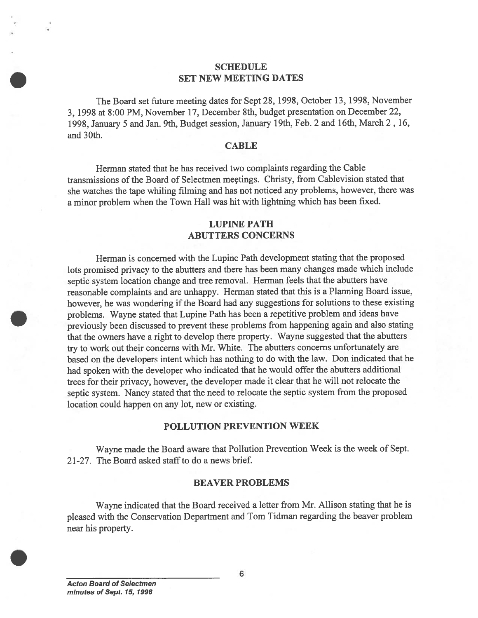#### SCHEDULE SET NEW MEETING DATES

The Board set future meeting dates for Sept 28, 1998, October 13, 1998, November 3, 1998 at 8:00 PM, November 17, December 8th, budget presentation on December 22, 1998, January <sup>5</sup> and Jan. 9th, Budget session, January 19th, Feb. <sup>2</sup> and 16th, March 2, 16, and 30th.

#### **CABLE**

Herman stated that he has received two complaints regarding the Cable transmissions of the Board of Selectmen meçtings. Christy, from Cablevision stated that she watches the tape whiling filming and has not noticed any problems, however, there was <sup>a</sup> minor problem when the Town Hall was hit with lightning which has been fixed.

#### LUPINE PATH ABUTTERS CONCERNS

Herman is concerned with the Lupine Path development stating that the proposed lots promised privacy to the abutters and there has been many changes made which include septic system location change and tree removal. Herman feels that the abutters have reasonable complaints and are unhappy. Herman stated that this is <sup>a</sup> Planning Board issue, however, he was wondering if the Board had any suggestions for solutions to these existing problems. Wayne stated that Lupine Path has been <sup>a</sup> repetitive problem and ideas have previously been discussed to preven<sup>t</sup> these problems from happening again and also stating that the owners have <sup>a</sup> right to develop there property. Wayne suggested that the abutters try to work out their concerns with Mr. White. The abutters concerns unfortunately are based on the developers intent which has nothing to do with the law. Don indicated that he had spoken with the developer who indicated that he would offer the abutters additional trees for their privacy, however, the developer made it clear that he will not relocate the septic system. Nancy stated that the need to relocate the septic system from the propose<sup>d</sup> location could happen on any lot, new or existing. SET NEW SET NEW SET NEW SET NEW SET NEW SET NEW 3, 3,998 at 8:00 PM, November 17, Deccesse 1998, January 5 and Jan. 9th, Budget see and 30th.<br>
Herman stated that he has receive transmissions of the Board of Selectmer she w

#### POLLUTION PREVENTION WEEK

Wayne made the Board aware that Pollution Prevention Week is the week of Sept. 2 1-27. The Board asked staff to do <sup>a</sup> news brief.

#### BEAVER PROBLEMS

Wayne indicated that the Board received <sup>a</sup> letter from Mr. Allison stating that he is <sup>p</sup>leased with the Conservation Department and Tom Tidman regarding the beaver problem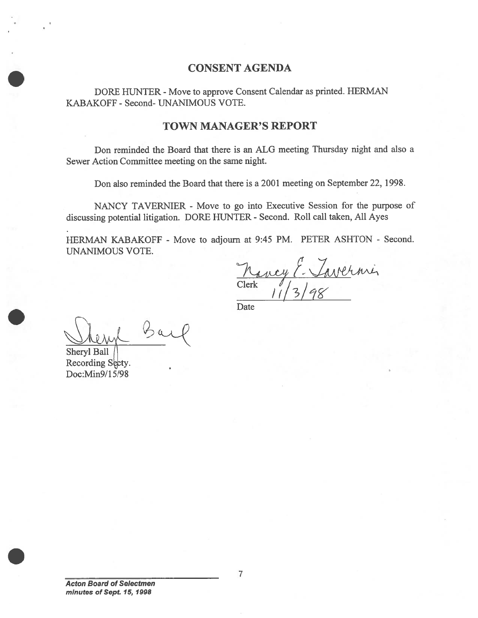## CONSENT AGENDA

DORE HUNTER - Move to approve Consent Calendar as printed. HERMAN KABAKOFF -Second- UNANIMOUS VOTE.

### TOWN MANAGER'S REPORT

Don reminded the Board that there is an ALG meeting Thursday night and also <sup>a</sup> Sewer Action Committee meeting on the same night.

Don also reminded the Board that there is <sup>a</sup> 2001 meeting on September 22, 1998.

NANCY TAVERNIER - Move to go into Executive Session for the purpose of discussing potential litigation. DORE HUNTER - Second. Roll call taken, All Ayes

HERMAN KABAKOFF - Move to adjourn at 9:45 PM. PETER ASHTON - Second. UNANIMOUS VOTE.

 $Clerk$  /  $113/98$ 

**Date** 

Shery Bar

Sheryl Ball Recording Secty. Doc:Min9/1 5/98

Acton Board of Selectmen minutes of Sept. 15, 1998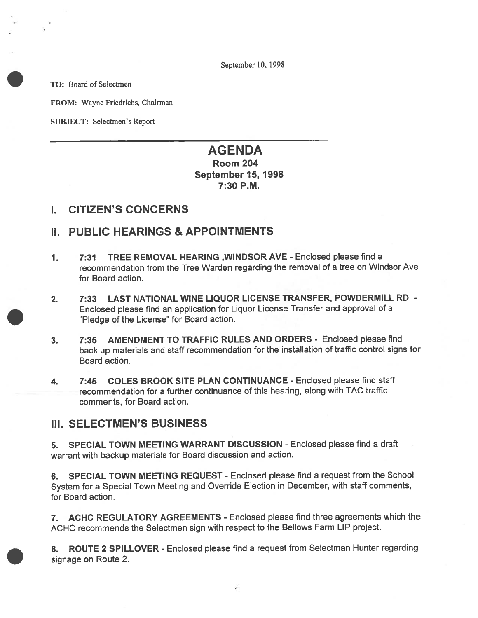September 10, 1998

TO: Board of Selectmen

FROM: Wayne friedrichs, Chairman

SUBJECT: Selectmen's Report

## AGENDA Room 204 September 15, 1998 7:30 P.M.

## I. CITIZEN'S CONCERNS

## II. PUBLIC HEARINGS & APPOINTMENTS

- 1. 7:31 TREE REMOVAL HEARiNG ,WINDSOR AVE Enclosed please find <sup>a</sup> recommendation from the Tree Warden regarding the removal of <sup>a</sup> tree on Windsor Ave for Board action.
- 2. 7:33 LAST NATIONAL WINE LIQUOR LiCENSE TRANSFER, POWDERMILL RD Enclosed <sup>p</sup>lease find an application for Liquor License Transfer and approva<sup>l</sup> of <sup>a</sup> 'Pledge of the License" for Board action.
- 3. 7:35 AMENDMENT TO TRAFFIC RULES AND ORDERS Enclosed please find back up materials and staff recommendation for the installation of traffic control signs for Board action.
- 4. 7:45 COLES BROOK SITE PLAN CONTINUANCE Enclosed please find staff recommendation for <sup>a</sup> further continuance of this hearing, along with TAC traffic comments, for Board action.

## III. SELECTMEN'S BUSINESS

5. SPECIAL TOWN MEETING WARRANT DISCUSSION - Enclosed please find <sup>a</sup> draft warrant with backup materials for Board discussion and action.

6. SPECIAL TOWN MEETING REQUEST - Enclosed please find <sup>a</sup> reques<sup>t</sup> from the School System for <sup>a</sup> Special Town Meeting and Override Election in December, with staff comments, for Board action.

7. ACHC REGULATORY AGREEMENTS - Enclosed please find three agreements which the ACHC recommends the Selectmen sign with respec<sup>t</sup> to the Bellows Farm LIP project.

8. ROUTE <sup>2</sup> SPILLOVER - Enclosed <sup>p</sup>lease find <sup>a</sup> reques<sup>t</sup> from Selectman Hunter regarding signage on Route 2.